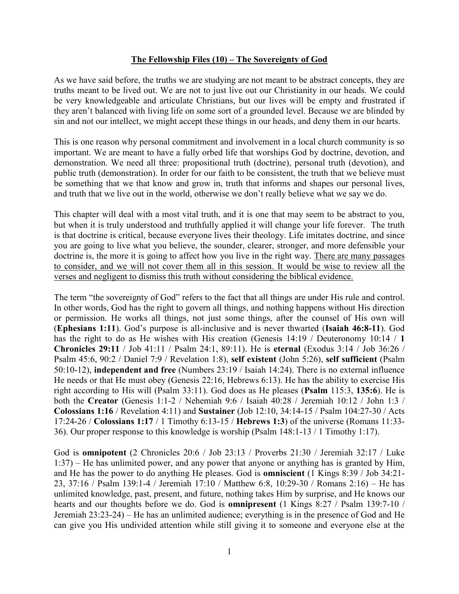## **The Fellowship Files (10) – The Sovereignty of God**

As we have said before, the truths we are studying are not meant to be abstract concepts, they are truths meant to be lived out. We are not to just live out our Christianity in our heads. We could be very knowledgeable and articulate Christians, but our lives will be empty and frustrated if they aren't balanced with living life on some sort of a grounded level. Because we are blinded by sin and not our intellect, we might accept these things in our heads, and deny them in our hearts.

This is one reason why personal commitment and involvement in a local church community is so important. We are meant to have a fully orbed life that worships God by doctrine, devotion, and demonstration. We need all three: propositional truth (doctrine), personal truth (devotion), and public truth (demonstration). In order for our faith to be consistent, the truth that we believe must be something that we that know and grow in, truth that informs and shapes our personal lives, and truth that we live out in the world, otherwise we don't really believe what we say we do.

This chapter will deal with a most vital truth, and it is one that may seem to be abstract to you, but when it is truly understood and truthfully applied it will change your life forever. The truth is that doctrine is critical, because everyone lives their theology. Life imitates doctrine, and since you are going to live what you believe, the sounder, clearer, stronger, and more defensible your doctrine is, the more it is going to affect how you live in the right way. There are many passages to consider, and we will not cover them all in this session. It would be wise to review all the verses and negligent to dismiss this truth without considering the biblical evidence.

The term "the sovereignty of God" refers to the fact that all things are under His rule and control. In other words, God has the right to govern all things, and nothing happens without His direction or permission. He works all things, not just some things, after the counsel of His own will (**Ephesians 1:11**). God's purpose is all-inclusive and is never thwarted (**Isaiah 46:8-11**). God has the right to do as He wishes with His creation (Genesis 14:19 / Deuteronomy 10:14 / **1 Chronicles 29:11** / Job 41:11 / Psalm 24:1, 89:11). He is **eternal** (Exodus 3:14 / Job 36:26 / Psalm 45:6, 90:2 / Daniel 7:9 / Revelation 1:8), **self existent** (John 5:26), **self sufficient** (Psalm 50:10-12), **independent and free** (Numbers 23:19 / Isaiah 14:24). There is no external influence He needs or that He must obey (Genesis 22:16, Hebrews 6:13). He has the ability to exercise His right according to His will (Psalm 33:11). God does as He pleases (**Psalm** 115:3, **135:6**). He is both the **Creator** (Genesis 1:1-2 / Nehemiah 9:6 / Isaiah 40:28 / Jeremiah 10:12 / John 1:3 / **Colossians 1:16** / Revelation 4:11) and **Sustainer** (Job 12:10, 34:14-15 / Psalm 104:27-30 / Acts 17:24-26 / **Colossians 1:17** / 1 Timothy 6:13-15 / **Hebrews 1:3**) of the universe (Romans 11:33- 36). Our proper response to this knowledge is worship (Psalm 148:1-13 / 1 Timothy 1:17).

God is **omnipotent** (2 Chronicles 20:6 / Job 23:13 / Proverbs 21:30 / Jeremiah 32:17 / Luke 1:37) – He has unlimited power, and any power that anyone or anything has is granted by Him, and He has the power to do anything He pleases. God is **omniscient** (1 Kings 8:39 / Job 34:21- 23, 37:16 / Psalm 139:1-4 / Jeremiah 17:10 / Matthew 6:8, 10:29-30 / Romans 2:16) – He has unlimited knowledge, past, present, and future, nothing takes Him by surprise, and He knows our hearts and our thoughts before we do. God is **omnipresent** (1 Kings 8:27 / Psalm 139:7-10 / Jeremiah 23:23-24) – He has an unlimited audience; everything is in the presence of God and He can give you His undivided attention while still giving it to someone and everyone else at the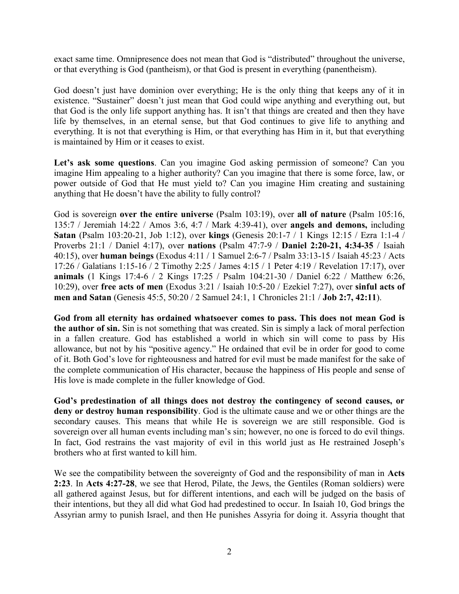exact same time. Omnipresence does not mean that God is "distributed" throughout the universe, or that everything is God (pantheism), or that God is present in everything (panentheism).

God doesn't just have dominion over everything; He is the only thing that keeps any of it in existence. "Sustainer" doesn't just mean that God could wipe anything and everything out, but that God is the only life support anything has. It isn't that things are created and then they have life by themselves, in an eternal sense, but that God continues to give life to anything and everything. It is not that everything is Him, or that everything has Him in it, but that everything is maintained by Him or it ceases to exist.

Let's ask some questions. Can you imagine God asking permission of someone? Can you imagine Him appealing to a higher authority? Can you imagine that there is some force, law, or power outside of God that He must yield to? Can you imagine Him creating and sustaining anything that He doesn't have the ability to fully control?

God is sovereign **over the entire universe** (Psalm 103:19), over **all of nature** (Psalm 105:16, 135:7 / Jeremiah 14:22 / Amos 3:6, 4:7 / Mark 4:39-41), over **angels and demons,** including **Satan** (Psalm 103:20-21, Job 1:12), over **kings** (Genesis 20:1-7 / 1 Kings 12:15 / Ezra 1:1-4 / Proverbs 21:1 / Daniel 4:17), over **nations** (Psalm 47:7-9 / **Daniel 2:20-21, 4:34-35** / Isaiah 40:15), over **human beings** (Exodus 4:11 / 1 Samuel 2:6-7 / Psalm 33:13-15 / Isaiah 45:23 / Acts 17:26 / Galatians 1:15-16 / 2 Timothy 2:25 / James 4:15 / 1 Peter 4:19 / Revelation 17:17), over **animals** (1 Kings 17:4-6 / 2 Kings 17:25 / Psalm 104:21-30 / Daniel 6:22 / Matthew 6:26, 10:29), over **free acts of men** (Exodus 3:21 / Isaiah 10:5-20 / Ezekiel 7:27), over **sinful acts of men and Satan** (Genesis 45:5, 50:20 / 2 Samuel 24:1, 1 Chronicles 21:1 / **Job 2:7, 42:11**).

**God from all eternity has ordained whatsoever comes to pass. This does not mean God is the author of sin.** Sin is not something that was created. Sin is simply a lack of moral perfection in a fallen creature. God has established a world in which sin will come to pass by His allowance, but not by his "positive agency." He ordained that evil be in order for good to come of it. Both God's love for righteousness and hatred for evil must be made manifest for the sake of the complete communication of His character, because the happiness of His people and sense of His love is made complete in the fuller knowledge of God.

**God's predestination of all things does not destroy the contingency of second causes, or deny or destroy human responsibility**. God is the ultimate cause and we or other things are the secondary causes. This means that while He is sovereign we are still responsible. God is sovereign over all human events including man's sin; however, no one is forced to do evil things. In fact, God restrains the vast majority of evil in this world just as He restrained Joseph's brothers who at first wanted to kill him.

We see the compatibility between the sovereignty of God and the responsibility of man in **Acts 2:23**. In **Acts 4:27-28**, we see that Herod, Pilate, the Jews, the Gentiles (Roman soldiers) were all gathered against Jesus, but for different intentions, and each will be judged on the basis of their intentions, but they all did what God had predestined to occur. In Isaiah 10, God brings the Assyrian army to punish Israel, and then He punishes Assyria for doing it. Assyria thought that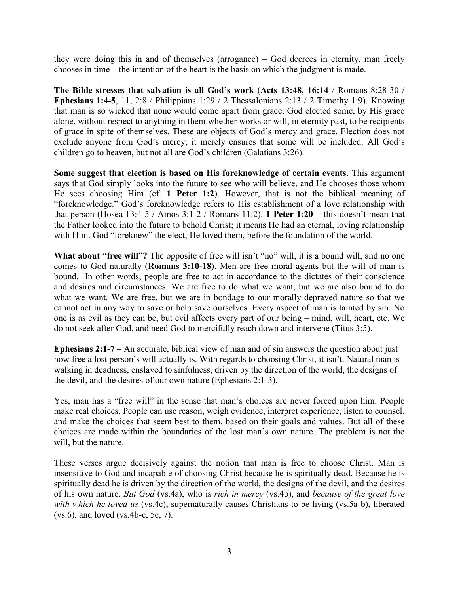they were doing this in and of themselves (arrogance) – God decrees in eternity, man freely chooses in time – the intention of the heart is the basis on which the judgment is made.

**The Bible stresses that salvation is all God's work** (**Acts 13:48, 16:14** / Romans 8:28-30 / **Ephesians 1:4-5**, 11, 2:8 / Philippians 1:29 / 2 Thessalonians 2:13 / 2 Timothy 1:9). Knowing that man is so wicked that none would come apart from grace, God elected some, by His grace alone, without respect to anything in them whether works or will, in eternity past, to be recipients of grace in spite of themselves. These are objects of God's mercy and grace. Election does not exclude anyone from God's mercy; it merely ensures that some will be included. All God's children go to heaven, but not all are God's children (Galatians 3:26).

**Some suggest that election is based on His foreknowledge of certain events**. This argument says that God simply looks into the future to see who will believe, and He chooses those whom He sees choosing Him (cf. **1 Peter 1:2**). However, that is not the biblical meaning of "foreknowledge." God's foreknowledge refers to His establishment of a love relationship with that person (Hosea 13:4-5 / Amos 3:1-2 / Romans 11:2). **1 Peter 1:20** – this doesn't mean that the Father looked into the future to behold Christ; it means He had an eternal, loving relationship with Him. God "foreknew" the elect; He loved them, before the foundation of the world.

What about "free will"? The opposite of free will isn't "no" will, it is a bound will, and no one comes to God naturally (**Romans 3:10-18**). Men are free moral agents but the will of man is bound. In other words, people are free to act in accordance to the dictates of their conscience and desires and circumstances. We are free to do what we want, but we are also bound to do what we want. We are free, but we are in bondage to our morally depraved nature so that we cannot act in any way to save or help save ourselves. Every aspect of man is tainted by sin. No one is as evil as they can be, but evil affects every part of our being – mind, will, heart, etc. We do not seek after God, and need God to mercifully reach down and intervene (Titus 3:5).

**Ephesians 2:1-7 –** An accurate, biblical view of man and of sin answers the question about just how free a lost person's will actually is. With regards to choosing Christ, it isn't. Natural man is walking in deadness, enslaved to sinfulness, driven by the direction of the world, the designs of the devil, and the desires of our own nature (Ephesians 2:1-3).

Yes, man has a "free will" in the sense that man's choices are never forced upon him. People make real choices. People can use reason, weigh evidence, interpret experience, listen to counsel, and make the choices that seem best to them, based on their goals and values. But all of these choices are made within the boundaries of the lost man's own nature. The problem is not the will, but the nature.

These verses argue decisively against the notion that man is free to choose Christ. Man is insensitive to God and incapable of choosing Christ because he is spiritually dead. Because he is spiritually dead he is driven by the direction of the world, the designs of the devil, and the desires of his own nature. *But God* (vs.4a), who is *rich in mercy* (vs.4b), and *because of the great love with which he loved us* (vs.4c), supernaturally causes Christians to be living (vs.5a-b), liberated (vs.6), and loved (vs.4b-c, 5c, 7).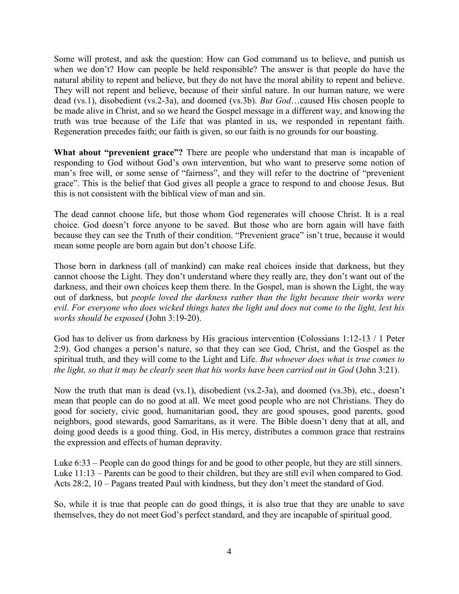Some will protest, and ask the question: How can God command us to believe, and punish us when we don't? How can people be held responsible? The answer is that people do have the natural ability to repent and believe, but they do not have the moral ability to repent and believe. They will not repent and believe, because of their sinful nature. In our human nature, we were dead (vs.1), disobedient (vs.2-3a), and doomed (vs.3b). *But God*…caused His chosen people to be made alive in Christ, and so we heard the Gospel message in a different way, and knowing the truth was true because of the Life that was planted in us, we responded in repentant faith. Regeneration precedes faith; our faith is given, so our faith is no grounds for our boasting.

**What about "prevenient grace"?** There are people who understand that man is incapable of responding to God without God's own intervention, but who want to preserve some notion of man's free will, or some sense of "fairness", and they will refer to the doctrine of "prevenient grace". This is the belief that God gives all people a grace to respond to and choose Jesus. But this is not consistent with the biblical view of man and sin.

The dead cannot choose life, but those whom God regenerates will choose Christ. It is a real choice. God doesn't force anyone to be saved. But those who are born again will have faith because they can see the Truth of their condition. "Prevenient grace" isn't true, because it would mean some people are born again but don't choose Life.

Those born in darkness (all of mankind) can make real choices inside that darkness, but they cannot choose the Light. They don't understand where they really are, they don't want out of the darkness, and their own choices keep them there. In the Gospel, man is shown the Light, the way out of darkness, but *people loved the darkness rather than the light because their works were evil. For everyone who does wicked things hates the light and does not come to the light, lest his works should be exposed* (John 3:19-20).

God has to deliver us from darkness by His gracious intervention (Colossians 1:12-13 / 1 Peter 2:9). God changes a person's nature, so that they can see God, Christ, and the Gospel as the spiritual truth, and they will come to the Light and Life. *But whoever does what is true comes to the light, so that it may be clearly seen that his works have been carried out in God* (John 3:21).

Now the truth that man is dead (vs.1), disobedient (vs.2-3a), and doomed (vs.3b), etc., doesn't mean that people can do no good at all. We meet good people who are not Christians. They do good for society, civic good, humanitarian good, they are good spouses, good parents, good neighbors, good stewards, good Samaritans, as it were. The Bible doesn't deny that at all, and doing good deeds is a good thing. God, in His mercy, distributes a common grace that restrains the expression and effects of human depravity.

Luke 6:33 – People can do good things for and be good to other people, but they are still sinners. Luke 11:13 – Parents can be good to their children, but they are still evil when compared to God. Acts 28:2, 10 – Pagans treated Paul with kindness, but they don't meet the standard of God.

So, while it is true that people can do good things, it is also true that they are unable to save themselves, they do not meet God's perfect standard, and they are incapable of spiritual good.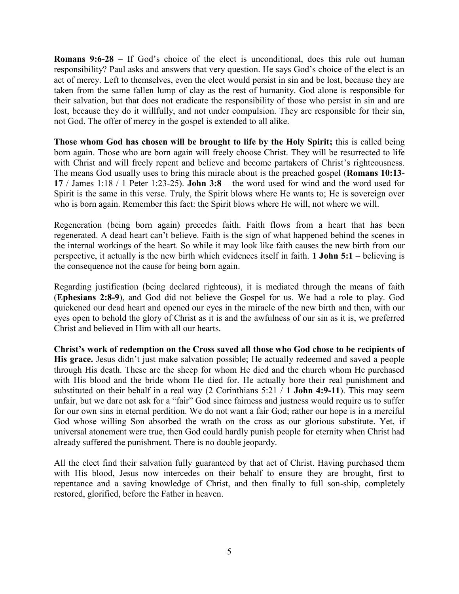**Romans 9:6-28** – If God's choice of the elect is unconditional, does this rule out human responsibility? Paul asks and answers that very question. He says God's choice of the elect is an act of mercy. Left to themselves, even the elect would persist in sin and be lost, because they are taken from the same fallen lump of clay as the rest of humanity. God alone is responsible for their salvation, but that does not eradicate the responsibility of those who persist in sin and are lost, because they do it willfully, and not under compulsion. They are responsible for their sin, not God. The offer of mercy in the gospel is extended to all alike.

**Those whom God has chosen will be brought to life by the Holy Spirit;** this is called being born again. Those who are born again will freely choose Christ. They will be resurrected to life with Christ and will freely repent and believe and become partakers of Christ's righteousness. The means God usually uses to bring this miracle about is the preached gospel (**Romans 10:13- 17** / James 1:18 / 1 Peter 1:23-25). **John 3:8** – the word used for wind and the word used for Spirit is the same in this verse. Truly, the Spirit blows where He wants to; He is sovereign over who is born again. Remember this fact: the Spirit blows where He will, not where we will.

Regeneration (being born again) precedes faith. Faith flows from a heart that has been regenerated. A dead heart can't believe. Faith is the sign of what happened behind the scenes in the internal workings of the heart. So while it may look like faith causes the new birth from our perspective, it actually is the new birth which evidences itself in faith. **1 John 5:1** – believing is the consequence not the cause for being born again.

Regarding justification (being declared righteous), it is mediated through the means of faith (**Ephesians 2:8-9**), and God did not believe the Gospel for us. We had a role to play. God quickened our dead heart and opened our eyes in the miracle of the new birth and then, with our eyes open to behold the glory of Christ as it is and the awfulness of our sin as it is, we preferred Christ and believed in Him with all our hearts.

**Christ's work of redemption on the Cross saved all those who God chose to be recipients of His grace.** Jesus didn't just make salvation possible; He actually redeemed and saved a people through His death. These are the sheep for whom He died and the church whom He purchased with His blood and the bride whom He died for. He actually bore their real punishment and substituted on their behalf in a real way (2 Corinthians 5:21 / **1 John 4:9-11**). This may seem unfair, but we dare not ask for a "fair" God since fairness and justness would require us to suffer for our own sins in eternal perdition. We do not want a fair God; rather our hope is in a merciful God whose willing Son absorbed the wrath on the cross as our glorious substitute. Yet, if universal atonement were true, then God could hardly punish people for eternity when Christ had already suffered the punishment. There is no double jeopardy.

All the elect find their salvation fully guaranteed by that act of Christ. Having purchased them with His blood, Jesus now intercedes on their behalf to ensure they are brought, first to repentance and a saving knowledge of Christ, and then finally to full son-ship, completely restored, glorified, before the Father in heaven.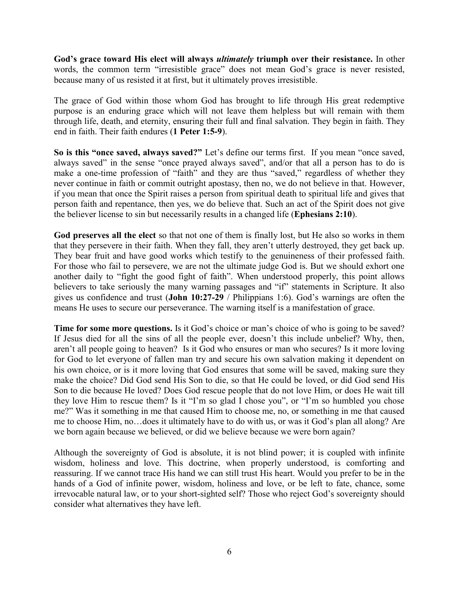**God's grace toward His elect will always** *ultimately* **triumph over their resistance.** In other words, the common term "irresistible grace" does not mean God's grace is never resisted, because many of us resisted it at first, but it ultimately proves irresistible.

The grace of God within those whom God has brought to life through His great redemptive purpose is an enduring grace which will not leave them helpless but will remain with them through life, death, and eternity, ensuring their full and final salvation. They begin in faith. They end in faith. Their faith endures (**1 Peter 1:5-9**).

**So is this "once saved, always saved?"** Let's define our terms first. If you mean "once saved, always saved" in the sense "once prayed always saved", and/or that all a person has to do is make a one-time profession of "faith" and they are thus "saved," regardless of whether they never continue in faith or commit outright apostasy, then no, we do not believe in that. However, if you mean that once the Spirit raises a person from spiritual death to spiritual life and gives that person faith and repentance, then yes, we do believe that. Such an act of the Spirit does not give the believer license to sin but necessarily results in a changed life (**Ephesians 2:10**).

**God preserves all the elect** so that not one of them is finally lost, but He also so works in them that they persevere in their faith. When they fall, they aren't utterly destroyed, they get back up. They bear fruit and have good works which testify to the genuineness of their professed faith. For those who fail to persevere, we are not the ultimate judge God is. But we should exhort one another daily to "fight the good fight of faith". When understood properly, this point allows believers to take seriously the many warning passages and "if" statements in Scripture. It also gives us confidence and trust (**John 10:27-29** / Philippians 1:6). God's warnings are often the means He uses to secure our perseverance. The warning itself is a manifestation of grace.

**Time for some more questions.** Is it God's choice or man's choice of who is going to be saved? If Jesus died for all the sins of all the people ever, doesn't this include unbelief? Why, then, aren't all people going to heaven? Is it God who ensures or man who secures? Is it more loving for God to let everyone of fallen man try and secure his own salvation making it dependent on his own choice, or is it more loving that God ensures that some will be saved, making sure they make the choice? Did God send His Son to die, so that He could be loved, or did God send His Son to die because He loved? Does God rescue people that do not love Him, or does He wait till they love Him to rescue them? Is it "I'm so glad I chose you", or "I'm so humbled you chose me?" Was it something in me that caused Him to choose me, no, or something in me that caused me to choose Him, no…does it ultimately have to do with us, or was it God's plan all along? Are we born again because we believed, or did we believe because we were born again?

Although the sovereignty of God is absolute, it is not blind power; it is coupled with infinite wisdom, holiness and love. This doctrine, when properly understood, is comforting and reassuring. If we cannot trace His hand we can still trust His heart. Would you prefer to be in the hands of a God of infinite power, wisdom, holiness and love, or be left to fate, chance, some irrevocable natural law, or to your short-sighted self? Those who reject God's sovereignty should consider what alternatives they have left.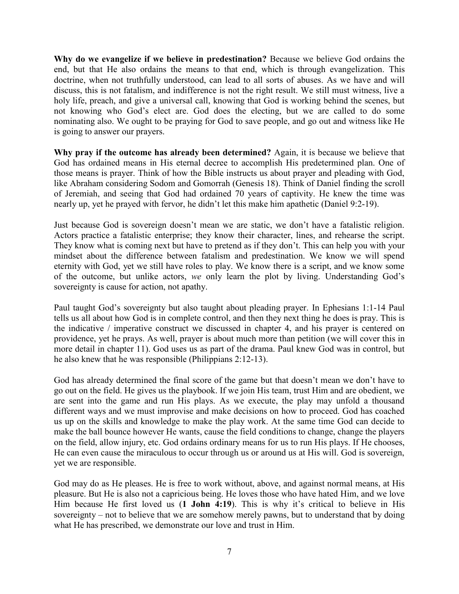**Why do we evangelize if we believe in predestination?** Because we believe God ordains the end, but that He also ordains the means to that end, which is through evangelization. This doctrine, when not truthfully understood, can lead to all sorts of abuses. As we have and will discuss, this is not fatalism, and indifference is not the right result. We still must witness, live a holy life, preach, and give a universal call, knowing that God is working behind the scenes, but not knowing who God's elect are. God does the electing, but we are called to do some nominating also. We ought to be praying for God to save people, and go out and witness like He is going to answer our prayers.

**Why pray if the outcome has already been determined?** Again, it is because we believe that God has ordained means in His eternal decree to accomplish His predetermined plan. One of those means is prayer. Think of how the Bible instructs us about prayer and pleading with God, like Abraham considering Sodom and Gomorrah (Genesis 18). Think of Daniel finding the scroll of Jeremiah, and seeing that God had ordained 70 years of captivity. He knew the time was nearly up, yet he prayed with fervor, he didn't let this make him apathetic (Daniel 9:2-19).

Just because God is sovereign doesn't mean we are static, we don't have a fatalistic religion. Actors practice a fatalistic enterprise; they know their character, lines, and rehearse the script. They know what is coming next but have to pretend as if they don't. This can help you with your mindset about the difference between fatalism and predestination. We know we will spend eternity with God, yet we still have roles to play. We know there is a script, and we know some of the outcome, but unlike actors, *we* only learn the plot by living. Understanding God's sovereignty is cause for action, not apathy.

Paul taught God's sovereignty but also taught about pleading prayer. In Ephesians 1:1-14 Paul tells us all about how God is in complete control, and then they next thing he does is pray. This is the indicative / imperative construct we discussed in chapter 4, and his prayer is centered on providence, yet he prays. As well, prayer is about much more than petition (we will cover this in more detail in chapter 11). God uses us as part of the drama. Paul knew God was in control, but he also knew that he was responsible (Philippians 2:12-13).

God has already determined the final score of the game but that doesn't mean we don't have to go out on the field. He gives us the playbook. If we join His team, trust Him and are obedient, we are sent into the game and run His plays. As we execute, the play may unfold a thousand different ways and we must improvise and make decisions on how to proceed. God has coached us up on the skills and knowledge to make the play work. At the same time God can decide to make the ball bounce however He wants, cause the field conditions to change, change the players on the field, allow injury, etc. God ordains ordinary means for us to run His plays. If He chooses, He can even cause the miraculous to occur through us or around us at His will. God is sovereign, yet we are responsible.

God may do as He pleases. He is free to work without, above, and against normal means, at His pleasure. But He is also not a capricious being. He loves those who have hated Him, and we love Him because He first loved us (**1 John 4:19**). This is why it's critical to believe in His sovereignty – not to believe that we are somehow merely pawns, but to understand that by doing what He has prescribed, we demonstrate our love and trust in Him.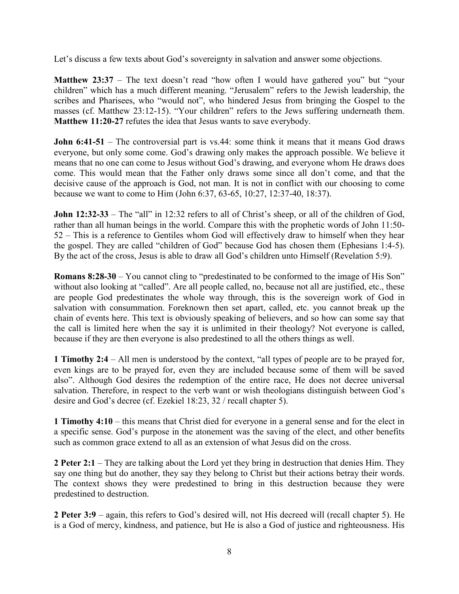Let's discuss a few texts about God's sovereignty in salvation and answer some objections.

**Matthew 23:37** – The text doesn't read "how often I would have gathered you" but "your children" which has a much different meaning. "Jerusalem" refers to the Jewish leadership, the scribes and Pharisees, who "would not", who hindered Jesus from bringing the Gospel to the masses (cf. Matthew 23:12-15). "Your children" refers to the Jews suffering underneath them. **Matthew 11:20-27** refutes the idea that Jesus wants to save everybody.

**John 6:41-51** – The controversial part is vs.44: some think it means that it means God draws everyone, but only some come. God's drawing only makes the approach possible. We believe it means that no one can come to Jesus without God's drawing, and everyone whom He draws does come. This would mean that the Father only draws some since all don't come, and that the decisive cause of the approach is God, not man. It is not in conflict with our choosing to come because we want to come to Him (John 6:37, 63-65, 10:27, 12:37-40, 18:37).

**John 12:32-33** – The "all" in 12:32 refers to all of Christ's sheep, or all of the children of God, rather than all human beings in the world. Compare this with the prophetic words of John 11:50- 52 – This is a reference to Gentiles whom God will effectively draw to himself when they hear the gospel. They are called "children of God" because God has chosen them (Ephesians 1:4-5). By the act of the cross, Jesus is able to draw all God's children unto Himself (Revelation 5:9).

**Romans 8:28-30** – You cannot cling to "predestinated to be conformed to the image of His Son" without also looking at "called". Are all people called, no, because not all are justified, etc., these are people God predestinates the whole way through, this is the sovereign work of God in salvation with consummation. Foreknown then set apart, called, etc. you cannot break up the chain of events here. This text is obviously speaking of believers, and so how can some say that the call is limited here when the say it is unlimited in their theology? Not everyone is called, because if they are then everyone is also predestined to all the others things as well.

**1 Timothy 2:4** – All men is understood by the context, "all types of people are to be prayed for, even kings are to be prayed for, even they are included because some of them will be saved also". Although God desires the redemption of the entire race, He does not decree universal salvation. Therefore, in respect to the verb want or wish theologians distinguish between God's desire and God's decree (cf. Ezekiel 18:23, 32 / recall chapter 5).

**1 Timothy 4:10** – this means that Christ died for everyone in a general sense and for the elect in a specific sense. God's purpose in the atonement was the saving of the elect, and other benefits such as common grace extend to all as an extension of what Jesus did on the cross.

**2 Peter 2:1** – They are talking about the Lord yet they bring in destruction that denies Him. They say one thing but do another, they say they belong to Christ but their actions betray their words. The context shows they were predestined to bring in this destruction because they were predestined to destruction.

**2 Peter 3:9** – again, this refers to God's desired will, not His decreed will (recall chapter 5). He is a God of mercy, kindness, and patience, but He is also a God of justice and righteousness. His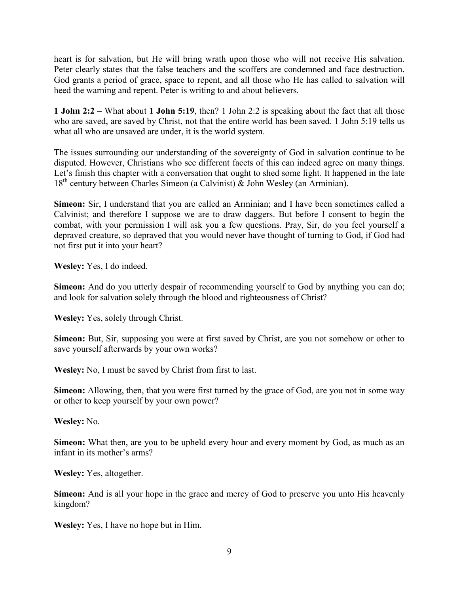heart is for salvation, but He will bring wrath upon those who will not receive His salvation. Peter clearly states that the false teachers and the scoffers are condemned and face destruction. God grants a period of grace, space to repent, and all those who He has called to salvation will heed the warning and repent. Peter is writing to and about believers.

**1 John 2:2** – What about **1 John 5:19**, then? 1 John 2:2 is speaking about the fact that all those who are saved, are saved by Christ, not that the entire world has been saved. 1 John 5:19 tells us what all who are unsaved are under, it is the world system.

The issues surrounding our understanding of the sovereignty of God in salvation continue to be disputed. However, Christians who see different facets of this can indeed agree on many things. Let's finish this chapter with a conversation that ought to shed some light. It happened in the late 18<sup>th</sup> century between Charles Simeon (a Calvinist) & John Wesley (an Arminian).

**Simeon:** Sir, I understand that you are called an Arminian; and I have been sometimes called a Calvinist; and therefore I suppose we are to draw daggers. But before I consent to begin the combat, with your permission I will ask you a few questions. Pray, Sir, do you feel yourself a depraved creature, so depraved that you would never have thought of turning to God, if God had not first put it into your heart?

**Wesley:** Yes, I do indeed.

Simeon: And do you utterly despair of recommending yourself to God by anything you can do; and look for salvation solely through the blood and righteousness of Christ?

**Wesley:** Yes, solely through Christ.

**Simeon:** But, Sir, supposing you were at first saved by Christ, are you not somehow or other to save yourself afterwards by your own works?

**Wesley:** No, I must be saved by Christ from first to last.

**Simeon:** Allowing, then, that you were first turned by the grace of God, are you not in some way or other to keep yourself by your own power?

**Wesley:** No.

**Simeon:** What then, are you to be upheld every hour and every moment by God, as much as an infant in its mother's arms?

**Wesley:** Yes, altogether.

**Simeon:** And is all your hope in the grace and mercy of God to preserve you unto His heavenly kingdom?

**Wesley:** Yes, I have no hope but in Him.